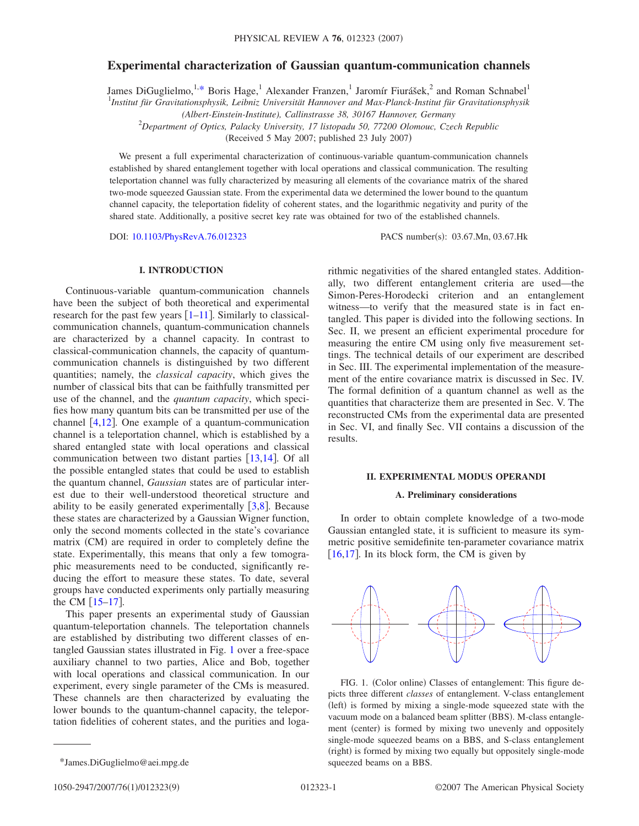# **Experimental characterization of Gaussian quantum-communication channels**

James DiGuglielmo,<sup>1[,\\*](#page-0-0)</sup> Boris Hage,<sup>1</sup> Alexander Franzen,<sup>1</sup> Jaromír Fiurášek,<sup>2</sup> and Roman Schnabel<sup>1</sup>

1 *Institut für Gravitationsphysik, Leibniz Universität Hannover and Max-Planck-Institut für Gravitationsphysik*

*(Albert-Einstein-Institute), Callinstrasse 38, 30167 Hannover, Germany*

2 *Department of Optics, Palacky University, 17 listopadu 50, 77200 Olomouc, Czech Republic*

(Received 5 May 2007; published 23 July 2007)

We present a full experimental characterization of continuous-variable quantum-communication channels established by shared entanglement together with local operations and classical communication. The resulting teleportation channel was fully characterized by measuring all elements of the covariance matrix of the shared two-mode squeezed Gaussian state. From the experimental data we determined the lower bound to the quantum channel capacity, the teleportation fidelity of coherent states, and the logarithmic negativity and purity of the shared state. Additionally, a positive secret key rate was obtained for two of the established channels.

DOI: [10.1103/PhysRevA.76.012323](http://dx.doi.org/10.1103/PhysRevA.76.012323)

PACS number(s): 03.67.Mn, 03.67.Hk

# **I. INTRODUCTION**

Continuous-variable quantum-communication channels have been the subject of both theoretical and experimental research for the past few years  $[1–11]$  $[1–11]$  $[1–11]$  $[1–11]$ . Similarly to classicalcommunication channels, quantum-communication channels are characterized by a channel capacity. In contrast to classical-communication channels, the capacity of quantumcommunication channels is distinguished by two different quantities; namely, the *classical capacity*, which gives the number of classical bits that can be faithfully transmitted per use of the channel, and the *quantum capacity*, which specifies how many quantum bits can be transmitted per use of the channel  $[4,12]$  $[4,12]$  $[4,12]$  $[4,12]$ . One example of a quantum-communication channel is a teleportation channel, which is established by a shared entangled state with local operations and classical communication between two distant parties  $[13,14]$  $[13,14]$  $[13,14]$  $[13,14]$ . Of all the possible entangled states that could be used to establish the quantum channel, *Gaussian* states are of particular interest due to their well-understood theoretical structure and ability to be easily generated experimentally  $\lceil 3, 8 \rceil$  $\lceil 3, 8 \rceil$  $\lceil 3, 8 \rceil$ . Because these states are characterized by a Gaussian Wigner function, only the second moments collected in the state's covariance matrix (CM) are required in order to completely define the state. Experimentally, this means that only a few tomographic measurements need to be conducted, significantly reducing the effort to measure these states. To date, several groups have conducted experiments only partially measuring the CM  $[15-17]$  $[15-17]$  $[15-17]$ .

This paper presents an experimental study of Gaussian quantum-teleportation channels. The teleportation channels are established by distributing two different classes of entangled Gaussian states illustrated in Fig. [1](#page-0-1) over a free-space auxiliary channel to two parties, Alice and Bob, together with local operations and classical communication. In our experiment, every single parameter of the CMs is measured. These channels are then characterized by evaluating the lower bounds to the quantum-channel capacity, the teleportation fidelities of coherent states, and the purities and logarithmic negativities of the shared entangled states. Additionally, two different entanglement criteria are used—the Simon-Peres-Horodecki criterion and an entanglement witness—to verify that the measured state is in fact entangled. This paper is divided into the following sections. In Sec. II, we present an efficient experimental procedure for measuring the entire CM using only five measurement settings. The technical details of our experiment are described in Sec. III. The experimental implementation of the measurement of the entire covariance matrix is discussed in Sec. IV. The formal definition of a quantum channel as well as the quantities that characterize them are presented in Sec. V. The reconstructed CMs from the experimental data are presented in Sec. VI, and finally Sec. VII contains a discussion of the results.

#### **II. EXPERIMENTAL MODUS OPERANDI**

#### **A. Preliminary considerations**

In order to obtain complete knowledge of a two-mode Gaussian entangled state, it is sufficient to measure its symmetric positive semidefinite ten-parameter covariance matrix [ $16,17$  $16,17$ ]. In its block form, the CM is given by

<span id="page-0-1"></span>

FIG. 1. (Color online) Classes of entanglement: This figure depicts three different *classes* of entanglement. V-class entanglement (left) is formed by mixing a single-mode squeezed state with the vacuum mode on a balanced beam splitter (BBS). M-class entanglement (center) is formed by mixing two unevenly and oppositely single-mode squeezed beams on a BBS, and S-class entanglement (right) is formed by mixing two equally but oppositely single-mode squeezed beams on a BBS.

<span id="page-0-0"></span><sup>\*</sup>James.DiGuglielmo@aei.mpg.de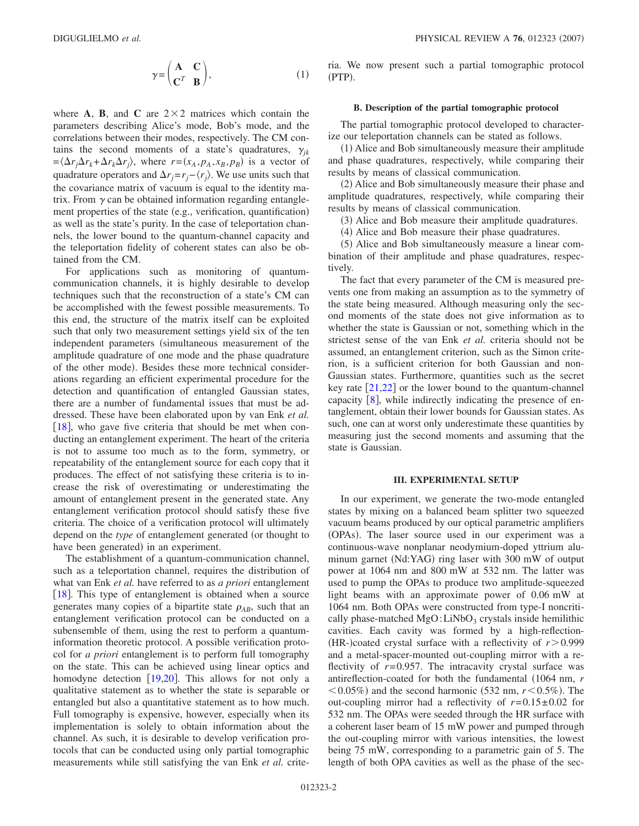$$
\gamma = \begin{pmatrix} \mathbf{A} & \mathbf{C} \\ \mathbf{C}^T & \mathbf{B} \end{pmatrix},\tag{1}
$$

<span id="page-1-0"></span>where  $\bf{A}$ ,  $\bf{B}$ , and  $\bf{C}$  are  $2 \times 2$  matrices which contain the parameters describing Alice's mode, Bob's mode, and the correlations between their modes, respectively. The CM contains the second moments of a state's quadratures,  $\gamma_{ik}$  $=\langle \Delta r_j \Delta r_k + \Delta r_k \Delta r_j \rangle$ , where  $r = (x_A, p_A, x_B, p_B)$  is a vector of quadrature operators and  $\Delta r_i = r_i - \langle r_i \rangle$ . We use units such that the covariance matrix of vacuum is equal to the identity matrix. From  $\gamma$  can be obtained information regarding entanglement properties of the state (e.g., verification, quantification) as well as the state's purity. In the case of teleportation channels, the lower bound to the quantum-channel capacity and the teleportation fidelity of coherent states can also be obtained from the CM.

For applications such as monitoring of quantumcommunication channels, it is highly desirable to develop techniques such that the reconstruction of a state's CM can be accomplished with the fewest possible measurements. To this end, the structure of the matrix itself can be exploited such that only two measurement settings yield six of the ten independent parameters (simultaneous measurement of the amplitude quadrature of one mode and the phase quadrature of the other mode). Besides these more technical considerations regarding an efficient experimental procedure for the detection and quantification of entangled Gaussian states, there are a number of fundamental issues that must be addressed. These have been elaborated upon by van Enk *et al.* [ $18$ ], who gave five criteria that should be met when conducting an entanglement experiment. The heart of the criteria is not to assume too much as to the form, symmetry, or repeatability of the entanglement source for each copy that it produces. The effect of not satisfying these criteria is to increase the risk of overestimating or underestimating the amount of entanglement present in the generated state. Any entanglement verification protocol should satisfy these five criteria. The choice of a verification protocol will ultimately depend on the *type* of entanglement generated (or thought to have been generated) in an experiment.

The establishment of a quantum-communication channel, such as a teleportation channel, requires the distribution of what van Enk *et al.* have referred to as *a priori* entanglement [ $18$ ]. This type of entanglement is obtained when a source generates many copies of a bipartite state  $\rho_{AB}$ , such that an entanglement verification protocol can be conducted on a subensemble of them, using the rest to perform a quantuminformation theoretic protocol. A possible verification protocol for *a priori* entanglement is to perform full tomography on the state. This can be achieved using linear optics and homodyne detection  $[19,20]$  $[19,20]$  $[19,20]$  $[19,20]$ . This allows for not only a qualitative statement as to whether the state is separable or entangled but also a quantitative statement as to how much. Full tomography is expensive, however, especially when its implementation is solely to obtain information about the channel. As such, it is desirable to develop verification protocols that can be conducted using only partial tomographic measurements while still satisfying the van Enk *et al.* criteria. We now present such a partial tomographic protocol (PTP).

## **B. Description of the partial tomographic protocol**

The partial tomographic protocol developed to characterize our teleportation channels can be stated as follows.

(1) Alice and Bob simultaneously measure their amplitude and phase quadratures, respectively, while comparing their results by means of classical communication.

(2) Alice and Bob simultaneously measure their phase and amplitude quadratures, respectively, while comparing their results by means of classical communication.

(3) Alice and Bob measure their amplitude quadratures.

(4) Alice and Bob measure their phase quadratures.

(5) Alice and Bob simultaneously measure a linear combination of their amplitude and phase quadratures, respectively.

The fact that every parameter of the CM is measured prevents one from making an assumption as to the symmetry of the state being measured. Although measuring only the second moments of the state does not give information as to whether the state is Gaussian or not, something which in the strictest sense of the van Enk *et al.* criteria should not be assumed, an entanglement criterion, such as the Simon criterion, is a sufficient criterion for both Gaussian and non-Gaussian states. Furthermore, quantities such as the secret key rate  $\lceil 21,22 \rceil$  $\lceil 21,22 \rceil$  $\lceil 21,22 \rceil$  $\lceil 21,22 \rceil$  or the lower bound to the quantum-channel capacity  $\lceil 8 \rceil$  $\lceil 8 \rceil$  $\lceil 8 \rceil$ , while indirectly indicating the presence of entanglement, obtain their lower bounds for Gaussian states. As such, one can at worst only underestimate these quantities by measuring just the second moments and assuming that the state is Gaussian.

#### **III. EXPERIMENTAL SETUP**

In our experiment, we generate the two-mode entangled states by mixing on a balanced beam splitter two squeezed vacuum beams produced by our optical parametric amplifiers (OPAs). The laser source used in our experiment was a continuous-wave nonplanar neodymium-doped yttrium aluminum garnet (Nd:YAG) ring laser with 300 mW of output power at 1064 nm and 800 mW at 532 nm. The latter was used to pump the OPAs to produce two amplitude-squeezed light beams with an approximate power of 0.06 mW at 1064 nm. Both OPAs were constructed from type-I noncritically phase-matched  $MgO:LiNbO<sub>3</sub>$  crystals inside hemilithic cavities. Each cavity was formed by a high-reflection- (HR-)coated crystal surface with a reflectivity of  $r > 0.999$ and a metal-spacer-mounted out-coupling mirror with a reflectivity of  $r=0.957$ . The intracavity crystal surface was antireflection-coated for both the fundamental (1064 nm, *r*  $<$  0.05%) and the second harmonic (532 nm,  $r$  < 0.5%). The out-coupling mirror had a reflectivity of  $r = 0.15 \pm 0.02$  for 532 nm. The OPAs were seeded through the HR surface with a coherent laser beam of 15 mW power and pumped through the out-coupling mirror with various intensities, the lowest being 75 mW, corresponding to a parametric gain of 5. The length of both OPA cavities as well as the phase of the sec-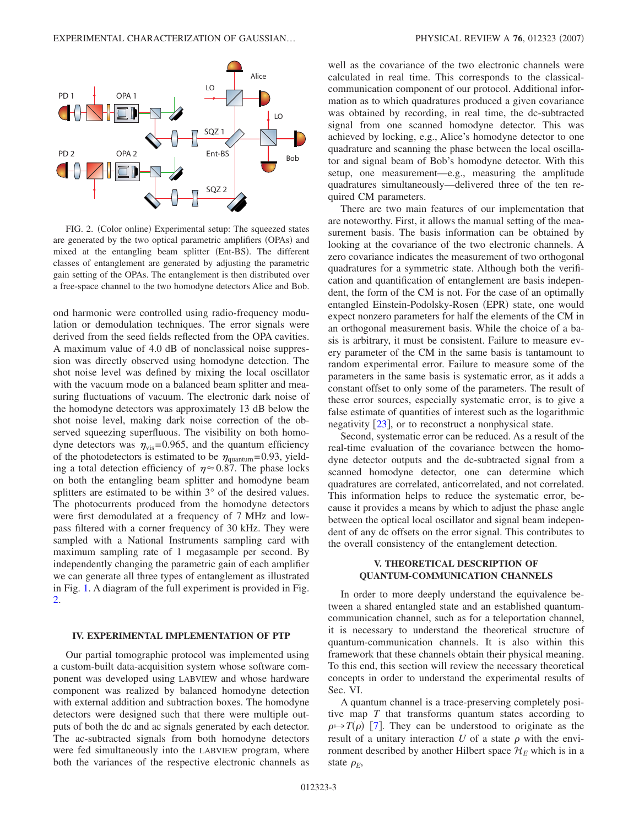<span id="page-2-0"></span>

FIG. 2. (Color online) Experimental setup: The squeezed states are generated by the two optical parametric amplifiers (OPAs) and mixed at the entangling beam splitter (Ent-BS). The different classes of entanglement are generated by adjusting the parametric gain setting of the OPAs. The entanglement is then distributed over a free-space channel to the two homodyne detectors Alice and Bob.

ond harmonic were controlled using radio-frequency modulation or demodulation techniques. The error signals were derived from the seed fields reflected from the OPA cavities. A maximum value of 4.0 dB of nonclassical noise suppression was directly observed using homodyne detection. The shot noise level was defined by mixing the local oscillator with the vacuum mode on a balanced beam splitter and measuring fluctuations of vacuum. The electronic dark noise of the homodyne detectors was approximately 13 dB below the shot noise level, making dark noise correction of the observed squeezing superfluous. The visibility on both homodyne detectors was  $\eta_{vis}$ =0.965, and the quantum efficiency of the photodetectors is estimated to be  $\eta_{quantum}$ =0.93, yielding a total detection efficiency of  $\eta \approx 0.87$ . The phase locks on both the entangling beam splitter and homodyne beam splitters are estimated to be within 3° of the desired values. The photocurrents produced from the homodyne detectors were first demodulated at a frequency of 7 MHz and lowpass filtered with a corner frequency of 30 kHz. They were sampled with a National Instruments sampling card with maximum sampling rate of 1 megasample per second. By independently changing the parametric gain of each amplifier we can generate all three types of entanglement as illustrated in Fig. [1.](#page-0-1) A diagram of the full experiment is provided in Fig. [2.](#page-2-0)

## **IV. EXPERIMENTAL IMPLEMENTATION OF PTP**

Our partial tomographic protocol was implemented using a custom-built data-acquisition system whose software component was developed using LABVIEW and whose hardware component was realized by balanced homodyne detection with external addition and subtraction boxes. The homodyne detectors were designed such that there were multiple outputs of both the dc and ac signals generated by each detector. The ac-subtracted signals from both homodyne detectors were fed simultaneously into the LABVIEW program, where both the variances of the respective electronic channels as well as the covariance of the two electronic channels were calculated in real time. This corresponds to the classicalcommunication component of our protocol. Additional information as to which quadratures produced a given covariance was obtained by recording, in real time, the dc-subtracted signal from one scanned homodyne detector. This was achieved by locking, e.g., Alice's homodyne detector to one quadrature and scanning the phase between the local oscillator and signal beam of Bob's homodyne detector. With this setup, one measurement—e.g., measuring the amplitude quadratures simultaneously—delivered three of the ten required CM parameters.

There are two main features of our implementation that are noteworthy. First, it allows the manual setting of the measurement basis. The basis information can be obtained by looking at the covariance of the two electronic channels. A zero covariance indicates the measurement of two orthogonal quadratures for a symmetric state. Although both the verification and quantification of entanglement are basis independent, the form of the CM is not. For the case of an optimally entangled Einstein-Podolsky-Rosen (EPR) state, one would expect nonzero parameters for half the elements of the CM in an orthogonal measurement basis. While the choice of a basis is arbitrary, it must be consistent. Failure to measure every parameter of the CM in the same basis is tantamount to random experimental error. Failure to measure some of the parameters in the same basis is systematic error, as it adds a constant offset to only some of the parameters. The result of these error sources, especially systematic error, is to give a false estimate of quantities of interest such as the logarithmic negativity  $[23]$  $[23]$  $[23]$ , or to reconstruct a nonphysical state.

Second, systematic error can be reduced. As a result of the real-time evaluation of the covariance between the homodyne detector outputs and the dc-subtracted signal from a scanned homodyne detector, one can determine which quadratures are correlated, anticorrelated, and not correlated. This information helps to reduce the systematic error, because it provides a means by which to adjust the phase angle between the optical local oscillator and signal beam independent of any dc offsets on the error signal. This contributes to the overall consistency of the entanglement detection.

# **V. THEORETICAL DESCRIPTION OF QUANTUM-COMMUNICATION CHANNELS**

In order to more deeply understand the equivalence between a shared entangled state and an established quantumcommunication channel, such as for a teleportation channel, it is necessary to understand the theoretical structure of quantum-communication channels. It is also within this framework that these channels obtain their physical meaning. To this end, this section will review the necessary theoretical concepts in order to understand the experimental results of Sec. VI.

A quantum channel is a trace-preserving completely positive map *T* that transforms quantum states according to  $\rho \mapsto T(\rho)$  [[7](#page-7-15)]. They can be understood to originate as the result of a unitary interaction  $U$  of a state  $\rho$  with the environment described by another Hilbert space  $\mathcal{H}_E$  which is in a state  $\rho_F$ ,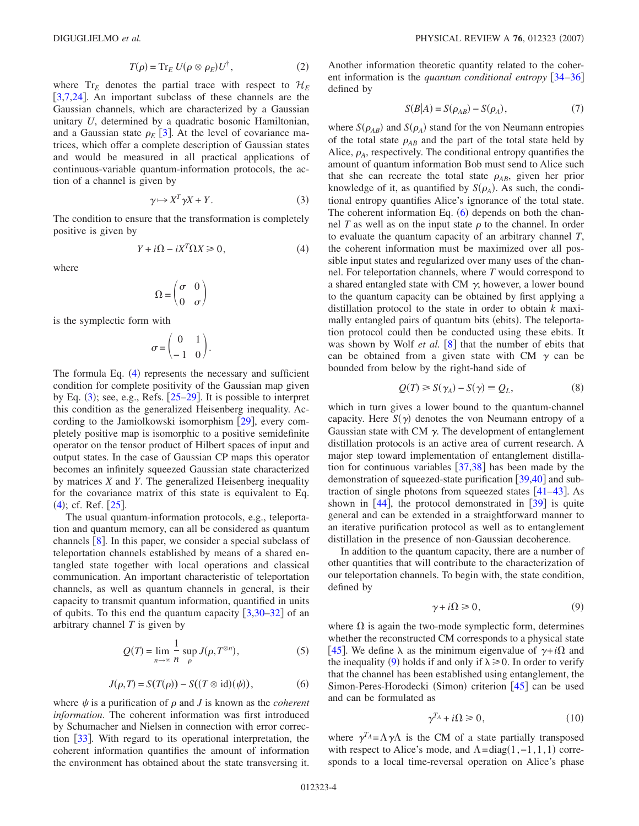$$
T(\rho) = \text{Tr}_E U(\rho \otimes \rho_E) U^{\dagger}, \qquad (2)
$$

where  $Tr_E$  denotes the partial trace with respect to  $H_E$  $[3,7,24]$  $[3,7,24]$  $[3,7,24]$  $[3,7,24]$  $[3,7,24]$ . An important subclass of these channels are the Gaussian channels, which are characterized by a Gaussian unitary *U*, determined by a quadratic bosonic Hamiltonian, and a Gaussian state  $\rho_E$  [[3](#page-7-6)]. At the level of covariance matrices, which offer a complete description of Gaussian states and would be measured in all practical applications of continuous-variable quantum-information protocols, the action of a channel is given by

$$
\gamma \mapsto X^T \gamma X + Y. \tag{3}
$$

<span id="page-3-1"></span>The condition to ensure that the transformation is completely positive is given by

$$
Y + i\Omega - iX^T \Omega X \ge 0,\tag{4}
$$

<span id="page-3-0"></span>where

$$
\Omega = \begin{pmatrix} \sigma & 0 \\ 0 & \sigma \end{pmatrix}
$$

is the symplectic form with

$$
\sigma = \begin{pmatrix} 0 & 1 \\ -1 & 0 \end{pmatrix}.
$$

The formula Eq.  $(4)$  $(4)$  $(4)$  represents the necessary and sufficient condition for complete positivity of the Gaussian map given by Eq.  $(3)$  $(3)$  $(3)$ ; see, e.g., Refs.  $[25-29]$  $[25-29]$  $[25-29]$ . It is possible to interpret this condition as the generalized Heisenberg inequality. According to the Jamiolkowski isomorphism  $[29]$  $[29]$  $[29]$ , every completely positive map is isomorphic to a positive semidefinite operator on the tensor product of Hilbert spaces of input and output states. In the case of Gaussian CP maps this operator becomes an infinitely squeezed Gaussian state characterized by matrices *X* and *Y*. The generalized Heisenberg inequality for the covariance matrix of this state is equivalent to Eq.  $(4)$  $(4)$  $(4)$ ; cf. Ref.  $[25]$  $[25]$  $[25]$ .

The usual quantum-information protocols, e.g., teleportation and quantum memory, can all be considered as quantum channels  $\lceil 8 \rceil$  $\lceil 8 \rceil$  $\lceil 8 \rceil$ . In this paper, we consider a special subclass of teleportation channels established by means of a shared entangled state together with local operations and classical communication. An important characteristic of teleportation channels, as well as quantum channels in general, is their capacity to transmit quantum information, quantified in units of qubits. To this end the quantum capacity  $\left[3,30-32\right]$  $\left[3,30-32\right]$  $\left[3,30-32\right]$  $\left[3,30-32\right]$  $\left[3,30-32\right]$  of an arbitrary channel *T* is given by

$$
Q(T) = \lim_{n \to \infty} \frac{1}{n} \sup_{\rho} J(\rho, T^{\otimes n}),
$$
 (5)

$$
J(\rho, T) = S(T(\rho)) - S((T \otimes id)(\psi)), \tag{6}
$$

<span id="page-3-2"></span>where  $\psi$  is a purification of  $\rho$  and *J* is known as the *coherent information*. The coherent information was first introduced by Schumacher and Nielsen in connection with error correction  $\left[33\right]$  $\left[33\right]$  $\left[33\right]$ . With regard to its operational interpretation, the coherent information quantifies the amount of information the environment has obtained about the state transversing it. Another information theoretic quantity related to the coherent information is the *quantum conditional entropy* [[34](#page-8-8)[–36](#page-8-9)] defined by

$$
S(B|A) = S(\rho_{AB}) - S(\rho_A),\tag{7}
$$

where  $S(\rho_{AB})$  and  $S(\rho_A)$  stand for the von Neumann entropies of the total state  $\rho_{AB}$  and the part of the total state held by Alice,  $\rho_A$ , respectively. The conditional entropy quantifies the amount of quantum information Bob must send to Alice such that she can recreate the total state  $\rho_{AB}$ , given her prior knowledge of it, as quantified by  $S(\rho_A)$ . As such, the conditional entropy quantifies Alice's ignorance of the total state. The coherent information Eq.  $(6)$  $(6)$  $(6)$  depends on both the channel *T* as well as on the input state  $\rho$  to the channel. In order to evaluate the quantum capacity of an arbitrary channel *T*, the coherent information must be maximized over all possible input states and regularized over many uses of the channel. For teleportation channels, where *T* would correspond to a shared entangled state with CM  $\gamma$ ; however, a lower bound to the quantum capacity can be obtained by first applying a distillation protocol to the state in order to obtain *k* maximally entangled pairs of quantum bits (ebits). The teleportation protocol could then be conducted using these ebits. It was shown by Wolf *et al.* [[8](#page-7-7)] that the number of ebits that can be obtained from a given state with CM  $\gamma$  can be bounded from below by the right-hand side of

$$
Q(T) \ge S(\gamma_A) - S(\gamma) \equiv Q_L,\tag{8}
$$

<span id="page-3-5"></span>which in turn gives a lower bound to the quantum-channel capacity. Here  $S(\gamma)$  denotes the von Neumann entropy of a Gaussian state with CM  $\gamma$ . The development of entanglement distillation protocols is an active area of current research. A major step toward implementation of entanglement distillation for continuous variables  $\left[37,38\right]$  $\left[37,38\right]$  $\left[37,38\right]$  $\left[37,38\right]$  has been made by the demonstration of squeezed-state purification  $\left[39,40\right]$  $\left[39,40\right]$  $\left[39,40\right]$  $\left[39,40\right]$  and subtraction of single photons from squeezed states  $\lceil 41-43 \rceil$  $\lceil 41-43 \rceil$  $\lceil 41-43 \rceil$ . As shown in  $[44]$  $[44]$  $[44]$ , the protocol demonstrated in  $[39]$  $[39]$  $[39]$  is quite general and can be extended in a straightforward manner to an iterative purification protocol as well as to entanglement distillation in the presence of non-Gaussian decoherence.

In addition to the quantum capacity, there are a number of other quantities that will contribute to the characterization of our teleportation channels. To begin with, the state condition, defined by

$$
\gamma + i\Omega \geq 0,\tag{9}
$$

<span id="page-3-3"></span>where  $\Omega$  is again the two-mode symplectic form, determines whether the reconstructed CM corresponds to a physical state [[45](#page-8-17)]. We define  $\lambda$  as the minimum eigenvalue of  $\gamma + i\Omega$  and the inequality ([9](#page-3-3)) holds if and only if  $\lambda \ge 0$ . In order to verify that the channel has been established using entanglement, the Simon-Peres-Horodecki (Simon) criterion [[45](#page-8-17)] can be used and can be formulated as

$$
\gamma^{T_A} + i\Omega \ge 0,\tag{10}
$$

<span id="page-3-4"></span>where  $\gamma^{T_A} = \Lambda \gamma \Lambda$  is the CM of a state partially transposed with respect to Alice's mode, and  $\Lambda = diag(1, -1, 1, 1)$  corresponds to a local time-reversal operation on Alice's phase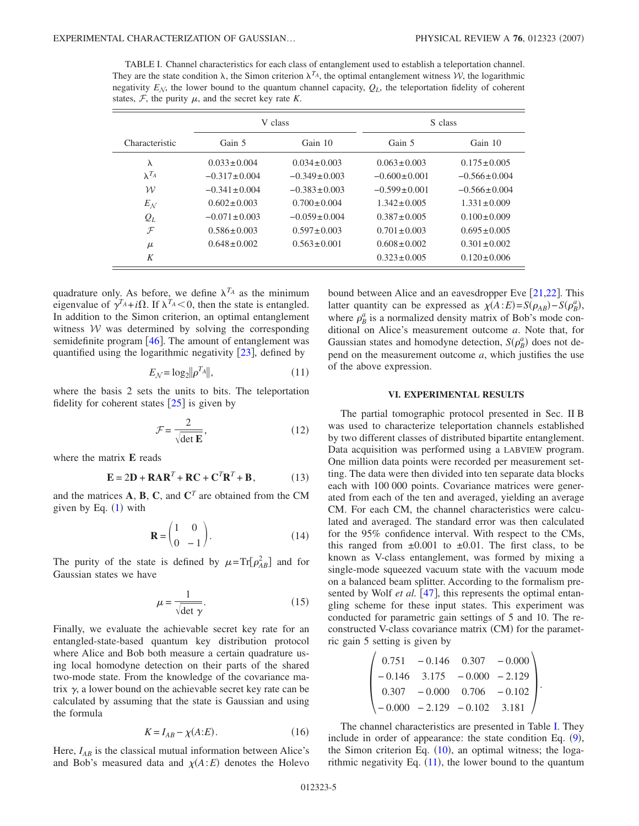<span id="page-4-0"></span>TABLE I. Channel characteristics for each class of entanglement used to establish a teleportation channel. They are the state condition  $\lambda$ , the Simon criterion  $\lambda^{T_A}$ , the optimal entanglement witness W, the logarithmic negativity  $E_N$ , the lower bound to the quantum channel capacity,  $Q_L$ , the teleportation fidelity of coherent states,  $F$ , the purity  $\mu$ , and the secret key rate *K*.

|                   | V class            |                    | S class            |                    |
|-------------------|--------------------|--------------------|--------------------|--------------------|
| Characteristic    | Gain 5             | Gain 10            | Gain 5             | Gain 10            |
| λ                 | $0.033 \pm 0.004$  | $0.034 \pm 0.003$  | $0.063 \pm 0.003$  | $0.175 \pm 0.005$  |
| $\lambda^{T_A}$   | $-0.317 \pm 0.004$ | $-0.349 \pm 0.003$ | $-0.600 \pm 0.001$ | $-0.566 \pm 0.004$ |
| $\mathcal W$      | $-0.341 \pm 0.004$ | $-0.383 \pm 0.003$ | $-0.599 \pm 0.001$ | $-0.566 \pm 0.004$ |
| $E_{\mathcal{N}}$ | $0.602 \pm 0.003$  | $0.700 \pm 0.004$  | $1.342 \pm 0.005$  | $1.331 \pm 0.009$  |
| $Q_L$             | $-0.071 \pm 0.003$ | $-0.059 \pm 0.004$ | $0.387 \pm 0.005$  | $0.100 \pm 0.009$  |
| $\mathcal{F}$     | $0.586 + 0.003$    | $0.597 \pm 0.003$  | $0.701 \pm 0.003$  | $0.695 \pm 0.005$  |
| $\mu$             | $0.648 \pm 0.002$  | $0.563 \pm 0.001$  | $0.608 \pm 0.002$  | $0.301 \pm 0.002$  |
| K                 |                    |                    | $0.323 \pm 0.005$  | $0.120 \pm 0.006$  |

quadrature only. As before, we define  $\lambda^{T_A}$  as the minimum eigenvalue of  $\gamma^{T_A} + i\Omega$ . If  $\lambda^{T_A} < 0$ , then the state is entangled. In addition to the Simon criterion, an optimal entanglement witness  $W$  was determined by solving the corresponding semidefinite program  $[46]$  $[46]$  $[46]$ . The amount of entanglement was quantified using the logarithmic negativity  $[23]$  $[23]$  $[23]$ , defined by

$$
E_{\mathcal{N}} = \log_2 \lVert \rho^{T_A} \rVert, \tag{11}
$$

<span id="page-4-2"></span><span id="page-4-1"></span>where the basis 2 sets the units to bits. The teleportation fidelity for coherent states  $\lceil 25 \rceil$  $\lceil 25 \rceil$  $\lceil 25 \rceil$  is given by

$$
\mathcal{F} = \frac{2}{\sqrt{\det \mathbf{E}}},\tag{12}
$$

where the matrix **E** reads

$$
\mathbf{E} = 2\mathbf{D} + \mathbf{R}\mathbf{A}\mathbf{R}^T + \mathbf{R}\mathbf{C} + \mathbf{C}^T\mathbf{R}^T + \mathbf{B},\tag{13}
$$

and the matrices  $A$ ,  $B$ ,  $C$ , and  $C<sup>T</sup>$  are obtained from the CM given by Eq.  $(1)$  $(1)$  $(1)$  with

$$
\mathbf{R} = \begin{pmatrix} 1 & 0 \\ 0 & -1 \end{pmatrix}.
$$
 (14)

<span id="page-4-3"></span>The purity of the state is defined by  $\mu = \text{Tr}[\rho_{AB}^2]$  and for Gaussian states we have

$$
\mu = \frac{1}{\sqrt{\det \gamma}}.\tag{15}
$$

Finally, we evaluate the achievable secret key rate for an entangled-state-based quantum key distribution protocol where Alice and Bob both measure a certain quadrature using local homodyne detection on their parts of the shared two-mode state. From the knowledge of the covariance matrix  $\gamma$ , a lower bound on the achievable secret key rate can be calculated by assuming that the state is Gaussian and using the formula

$$
K = I_{AB} - \chi(A:E). \tag{16}
$$

Here,  $I_{AB}$  is the classical mutual information between Alice's and Bob's measured data and  $\chi(A:E)$  denotes the Holevo

bound between Alice and an eavesdropper Eve  $[21,22]$  $[21,22]$  $[21,22]$  $[21,22]$ . This latter quantity can be expressed as  $\chi(A:E) = S(\rho_{AB}) - S(\rho_B^a)$ , where  $\rho_B^a$  is a normalized density matrix of Bob's mode conditional on Alice's measurement outcome *a*. Note that, for Gaussian states and homodyne detection,  $S(\rho_B^a)$  does not depend on the measurement outcome *a*, which justifies the use of the above expression.

## **VI. EXPERIMENTAL RESULTS**

The partial tomographic protocol presented in Sec. II B was used to characterize teleportation channels established by two different classes of distributed bipartite entanglement. Data acquisition was performed using a LABVIEW program. One million data points were recorded per measurement setting. The data were then divided into ten separate data blocks each with 100 000 points. Covariance matrices were generated from each of the ten and averaged, yielding an average CM. For each CM, the channel characteristics were calculated and averaged. The standard error was then calculated for the 95% confidence interval. With respect to the CMs, this ranged from  $\pm 0.001$  to  $\pm 0.01$ . The first class, to be known as V-class entanglement, was formed by mixing a single-mode squeezed vacuum state with the vacuum mode on a balanced beam splitter. According to the formalism presented by Wolf *et al.* [[47](#page-8-19)], this represents the optimal entangling scheme for these input states. This experiment was conducted for parametric gain settings of 5 and 10. The reconstructed V-class covariance matrix (CM) for the parametric gain 5 setting is given by

$$
\begin{pmatrix}\n0.751 & -0.146 & 0.307 & -0.000 \\
-0.146 & 3.175 & -0.000 & -2.129 \\
0.307 & -0.000 & 0.706 & -0.102 \\
-0.000 & -2.129 & -0.102 & 3.181\n\end{pmatrix}
$$

The channel characteristics are presented in Table [I.](#page-4-0) They include in order of appearance: the state condition Eq.  $(9)$  $(9)$  $(9)$ , the Simon criterion Eq.  $(10)$  $(10)$  $(10)$ , an optimal witness; the logarithmic negativity Eq.  $(11)$  $(11)$  $(11)$ , the lower bound to the quantum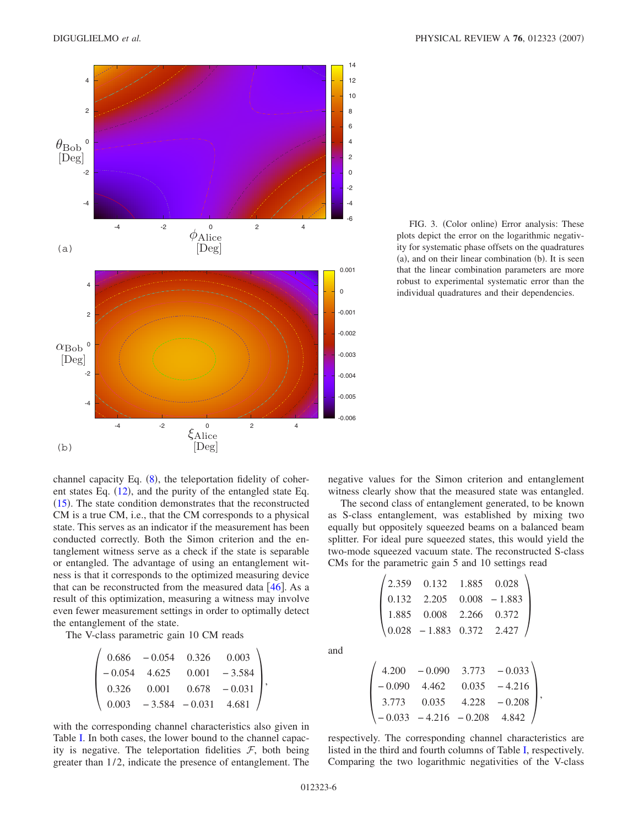<span id="page-5-0"></span>

FIG. 3. (Color online) Error analysis: These plots depict the error on the logarithmic negativity for systematic phase offsets on the quadratures (a), and on their linear combination (b). It is seen that the linear combination parameters are more robust to experimental systematic error than the individual quadratures and their dependencies.

channel capacity Eq.  $(8)$  $(8)$  $(8)$ , the teleportation fidelity of coherent states Eq.  $(12)$  $(12)$  $(12)$ , and the purity of the entangled state Eq.  $(15)$  $(15)$  $(15)$ . The state condition demonstrates that the reconstructed CM is a true CM, i.e., that the CM corresponds to a physical state. This serves as an indicator if the measurement has been conducted correctly. Both the Simon criterion and the entanglement witness serve as a check if the state is separable or entangled. The advantage of using an entanglement witness is that it corresponds to the optimized measuring device that can be reconstructed from the measured data  $\lceil 46 \rceil$  $\lceil 46 \rceil$  $\lceil 46 \rceil$ . As a result of this optimization, measuring a witness may involve even fewer measurement settings in order to optimally detect the entanglement of the state.

The V-class parametric gain 10 CM reads

$$
\begin{pmatrix}\n0.686 & -0.054 & 0.326 & 0.003 \\
-0.054 & 4.625 & 0.001 & -3.584 \\
0.326 & 0.001 & 0.678 & -0.031 \\
0.003 & -3.584 & -0.031 & 4.681\n\end{pmatrix},
$$

with the corresponding channel characteristics also given in Table [I.](#page-4-0) In both cases, the lower bound to the channel capacity is negative. The teleportation fidelities  $F$ , both being greater than 1/2, indicate the presence of entanglement. The negative values for the Simon criterion and entanglement witness clearly show that the measured state was entangled.

The second class of entanglement generated, to be known as S-class entanglement, was established by mixing two equally but oppositely squeezed beams on a balanced beam splitter. For ideal pure squeezed states, this would yield the two-mode squeezed vacuum state. The reconstructed S-class CMs for the parametric gain 5 and 10 settings read

$$
\begin{pmatrix} 2.359 & 0.132 & 1.885 & 0.028 \\ 0.132 & 2.205 & 0.008 & -1.883 \\ 1.885 & 0.008 & 2.266 & 0.372 \\ 0.028 & -1.883 & 0.372 & 2.427 \end{pmatrix}
$$

and

$$
\begin{pmatrix} 4.200 & -0.090 & 3.773 & -0.033 \ -0.090 & 4.462 & 0.035 & -4.216 \ 3.773 & 0.035 & 4.228 & -0.208 \ -0.033 & -4.216 & -0.208 & 4.842 \end{pmatrix},
$$

respectively. The corresponding channel characteristics are listed in the third and fourth columns of Table [I,](#page-4-0) respectively. Comparing the two logarithmic negativities of the V-class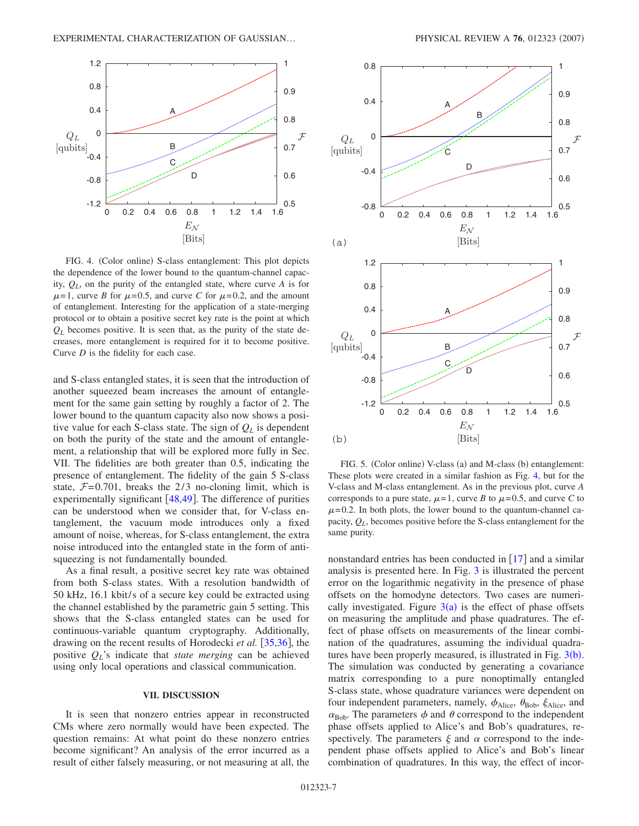<span id="page-6-0"></span>

FIG. 4. (Color online) S-class entanglement: This plot depicts the dependence of the lower bound to the quantum-channel capacity,  $Q<sub>L</sub>$ , on the purity of the entangled state, where curve *A* is for  $\mu$ =1, curve *B* for  $\mu$ =0.5, and curve *C* for  $\mu$ =0.2, and the amount of entanglement. Interesting for the application of a state-merging protocol or to obtain a positive secret key rate is the point at which  $Q_L$  becomes positive. It is seen that, as the purity of the state decreases, more entanglement is required for it to become positive. Curve *D* is the fidelity for each case.

and S-class entangled states, it is seen that the introduction of another squeezed beam increases the amount of entanglement for the same gain setting by roughly a factor of 2. The lower bound to the quantum capacity also now shows a positive value for each S-class state. The sign of  $Q_L$  is dependent on both the purity of the state and the amount of entanglement, a relationship that will be explored more fully in Sec. VII. The fidelities are both greater than 0.5, indicating the presence of entanglement. The fidelity of the gain 5 S-class state,  $\mathcal{F}$ =0.701, breaks the 2/3 no-cloning limit, which is experimentally significant  $[48,49]$  $[48,49]$  $[48,49]$  $[48,49]$ . The difference of purities can be understood when we consider that, for V-class entanglement, the vacuum mode introduces only a fixed amount of noise, whereas, for S-class entanglement, the extra noise introduced into the entangled state in the form of antisqueezing is not fundamentally bounded.

As a final result, a positive secret key rate was obtained from both S-class states. With a resolution bandwidth of 50 kHz, 16.1 kbit/s of a secure key could be extracted using the channel established by the parametric gain 5 setting. This shows that the S-class entangled states can be used for continuous-variable quantum cryptography. Additionally, drawing on the recent results of Horodecki *et al.* [[35,](#page-8-21)[36](#page-8-9)], the positive *QL*'s indicate that *state merging* can be achieved using only local operations and classical communication.

### **VII. DISCUSSION**

It is seen that nonzero entries appear in reconstructed CMs where zero normally would have been expected. The question remains: At what point do these nonzero entries become significant? An analysis of the error incurred as a result of either falsely measuring, or not measuring at all, the

<span id="page-6-1"></span>

FIG. 5. (Color online) V-class (a) and M-class (b) entanglement: These plots were created in a similar fashion as Fig. [4,](#page-6-0) but for the V-class and M-class entanglement. As in the previous plot, curve *A* corresponds to a pure state,  $\mu = 1$ , curve *B* to  $\mu = 0.5$ , and curve *C* to  $\mu$ =0.2. In both plots, the lower bound to the quantum-channel capacity, *QL*, becomes positive before the S-class entanglement for the same purity.

nonstandard entries has been conducted in  $\lceil 17 \rceil$  $\lceil 17 \rceil$  $\lceil 17 \rceil$  and a similar analysis is presented here. In Fig. [3](#page-5-0) is illustrated the percent error on the logarithmic negativity in the presence of phase offsets on the homodyne detectors. Two cases are numerically investigated. Figure  $3(a)$  $3(a)$  is the effect of phase offsets on measuring the amplitude and phase quadratures. The effect of phase offsets on measurements of the linear combination of the quadratures, assuming the individual quadratures have been properly measured, is illustrated in Fig.  $3(b)$  $3(b)$ . The simulation was conducted by generating a covariance matrix corresponding to a pure nonoptimally entangled S-class state, whose quadrature variances were dependent on four independent parameters, namely,  $\phi_{Alice}$ ,  $\theta_{Bob}$ ,  $\xi_{Alice}$ , and  $\alpha_{\rm Bob}$ . The parameters  $\phi$  and  $\theta$  correspond to the independent phase offsets applied to Alice's and Bob's quadratures, respectively. The parameters  $\xi$  and  $\alpha$  correspond to the independent phase offsets applied to Alice's and Bob's linear combination of quadratures. In this way, the effect of incor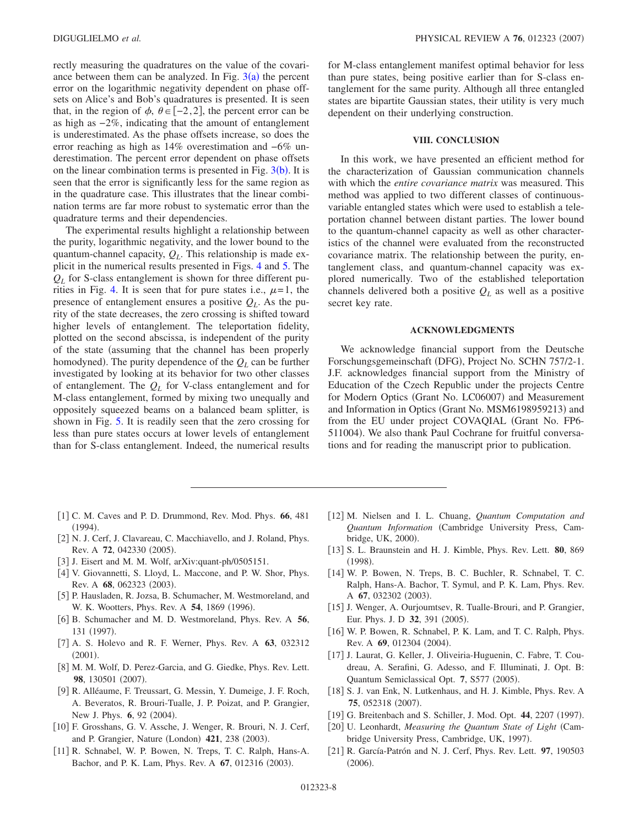rectly measuring the quadratures on the value of the covariance between them can be analyzed. In Fig.  $3(a)$  $3(a)$  the percent error on the logarithmic negativity dependent on phase offsets on Alice's and Bob's quadratures is presented. It is seen that, in the region of  $\phi$ ,  $\theta \in [-2,2]$ , the percent error can be as high as −2%, indicating that the amount of entanglement is underestimated. As the phase offsets increase, so does the error reaching as high as 14% overestimation and −6% underestimation. The percent error dependent on phase offsets on the linear combination terms is presented in Fig.  $3(b)$  $3(b)$ . It is seen that the error is significantly less for the same region as in the quadrature case. This illustrates that the linear combination terms are far more robust to systematic error than the quadrature terms and their dependencies.

The experimental results highlight a relationship between the purity, logarithmic negativity, and the lower bound to the quantum-channel capacity, *QL*. This relationship is made explicit in the numerical results presented in Figs. [4](#page-6-0) and [5.](#page-6-1) The *QL* for S-class entanglement is shown for three different pu-rities in Fig. [4.](#page-6-0) It is seen that for pure states i.e.,  $\mu = 1$ , the presence of entanglement ensures a positive  $Q_L$ . As the purity of the state decreases, the zero crossing is shifted toward higher levels of entanglement. The teleportation fidelity, plotted on the second abscissa, is independent of the purity of the state (assuming that the channel has been properly homodyned). The purity dependence of the  $Q_L$  can be further investigated by looking at its behavior for two other classes of entanglement. The  $Q_L$  for V-class entanglement and for M-class entanglement, formed by mixing two unequally and oppositely squeezed beams on a balanced beam splitter, is shown in Fig. [5.](#page-6-1) It is readily seen that the zero crossing for less than pure states occurs at lower levels of entanglement than for S-class entanglement. Indeed, the numerical results for M-class entanglement manifest optimal behavior for less than pure states, being positive earlier than for S-class entanglement for the same purity. Although all three entangled states are bipartite Gaussian states, their utility is very much dependent on their underlying construction.

#### **VIII. CONCLUSION**

In this work, we have presented an efficient method for the characterization of Gaussian communication channels with which the *entire covariance matrix* was measured. This method was applied to two different classes of continuousvariable entangled states which were used to establish a teleportation channel between distant parties. The lower bound to the quantum-channel capacity as well as other characteristics of the channel were evaluated from the reconstructed covariance matrix. The relationship between the purity, entanglement class, and quantum-channel capacity was explored numerically. Two of the established teleportation channels delivered both a positive  $Q_L$  as well as a positive secret key rate.

#### **ACKNOWLEDGMENTS**

We acknowledge financial support from the Deutsche Forschungsgemeinschaft (DFG), Project No. SCHN 757/2-1. J.F. acknowledges financial support from the Ministry of Education of the Czech Republic under the projects Centre for Modern Optics (Grant No. LC06007) and Measurement and Information in Optics (Grant No. MSM6198959213) and from the EU under project COVAQIAL Grant No. FP6- 511004). We also thank Paul Cochrane for fruitful conversations and for reading the manuscript prior to publication.

- <span id="page-7-0"></span>1 C. M. Caves and P. D. Drummond, Rev. Mod. Phys. **66**, 481  $(1994).$
- [2] N. J. Cerf, J. Clavareau, C. Macchiavello, and J. Roland, Phys. Rev. A 72, 042330 (2005).
- <span id="page-7-6"></span>[3] J. Eisert and M. M. Wolf, arXiv:quant-ph/0505151.
- <span id="page-7-2"></span>[4] V. Giovannetti, S. Lloyd, L. Maccone, and P. W. Shor, Phys. Rev. A 68, 062323 (2003).
- [5] P. Hausladen, R. Jozsa, B. Schumacher, M. Westmoreland, and W. K. Wootters, Phys. Rev. A 54, 1869 (1996).
- 6 B. Schumacher and M. D. Westmoreland, Phys. Rev. A **56**, 131 (1997).
- <span id="page-7-15"></span>[7] A. S. Holevo and R. F. Werner, Phys. Rev. A 63, 032312  $(2001).$
- <span id="page-7-7"></span>[8] M. M. Wolf, D. Perez-Garcia, and G. Giedke, Phys. Rev. Lett. 98, 130501 (2007).
- 9 R. Alléaume, F. Treussart, G. Messin, Y. Dumeige, J. F. Roch, A. Beveratos, R. Brouri-Tualle, J. P. Poizat, and P. Grangier, New J. Phys. **6**, 92 (2004).
- 10 F. Grosshans, G. V. Assche, J. Wenger, R. Brouri, N. J. Cerf, and P. Grangier, Nature (London) 421, 238 (2003).
- <span id="page-7-1"></span>[11] R. Schnabel, W. P. Bowen, N. Treps, T. C. Ralph, Hans-A. Bachor, and P. K. Lam, Phys. Rev. A 67, 012316 (2003).
- <span id="page-7-3"></span>12 M. Nielsen and I. L. Chuang, *Quantum Computation and Quantum Information* Cambridge University Press, Cambridge, UK, 2000).
- <span id="page-7-4"></span>13 S. L. Braunstein and H. J. Kimble, Phys. Rev. Lett. **80**, 869  $(1998).$
- <span id="page-7-5"></span>[14] W. P. Bowen, N. Treps, B. C. Buchler, R. Schnabel, T. C. Ralph, Hans-A. Bachor, T. Symul, and P. K. Lam, Phys. Rev. A 67, 032302 (2003).
- <span id="page-7-8"></span>[15] J. Wenger, A. Ourjoumtsev, R. Tualle-Brouri, and P. Grangier, Eur. Phys. J. D 32, 391 (2005).
- <span id="page-7-10"></span>[16] W. P. Bowen, R. Schnabel, P. K. Lam, and T. C. Ralph, Phys. Rev. A 69, 012304 (2004).
- <span id="page-7-9"></span>17 J. Laurat, G. Keller, J. Oliveiria-Huguenin, C. Fabre, T. Coudreau, A. Serafini, G. Adesso, and F. Illuminati, J. Opt. B: Quantum Semiclassical Opt. 7, S577 (2005).
- <span id="page-7-11"></span>[18] S. J. van Enk, N. Lutkenhaus, and H. J. Kimble, Phys. Rev. A 75, 052318 (2007).
- <span id="page-7-12"></span>[19] G. Breitenbach and S. Schiller, J. Mod. Opt. 44, 2207 (1997).
- <span id="page-7-13"></span>20 U. Leonhardt, *Measuring the Quantum State of Light* Cambridge University Press, Cambridge, UK, 1997).
- <span id="page-7-14"></span>21 R. García-Patrón and N. J. Cerf, Phys. Rev. Lett. **97**, 190503  $(2006).$